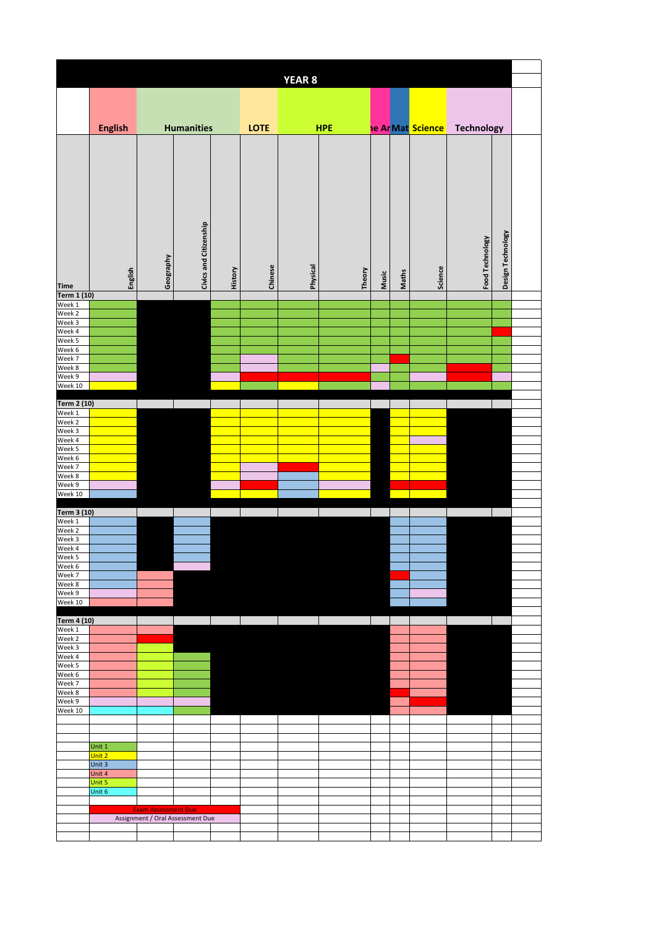| <b>YEAR 8</b>         |                  |                            |                                  |         |         |          |            |       |       |                          |                   |                   |  |
|-----------------------|------------------|----------------------------|----------------------------------|---------|---------|----------|------------|-------|-------|--------------------------|-------------------|-------------------|--|
|                       |                  |                            |                                  |         |         |          |            |       |       |                          |                   |                   |  |
|                       |                  |                            |                                  |         |         |          |            |       |       |                          |                   |                   |  |
|                       | <b>English</b>   |                            | <b>Humanities</b>                |         | LOTE    |          | <b>HPE</b> |       |       | <b>he Ar Mat Science</b> | <b>Technology</b> |                   |  |
| <b>Time</b>           | English          | Geography                  | Civics and Citizenship           | History | Chinese | Physical | Theory     | Music | Maths | Science                  | Food Technology   | Design Technology |  |
| Term 1 (10)<br>Week 1 |                  |                            |                                  |         |         |          |            |       |       |                          |                   |                   |  |
| Week 2                |                  |                            |                                  |         |         |          |            |       |       |                          |                   |                   |  |
| Week 3                |                  |                            |                                  |         |         |          |            |       |       |                          |                   |                   |  |
| Week 4<br>Week 5      |                  |                            |                                  |         |         |          |            |       |       |                          |                   |                   |  |
| Week 6                |                  |                            |                                  |         |         |          |            |       |       |                          |                   |                   |  |
| Week 7<br>Week 8      |                  |                            |                                  |         |         |          |            |       |       |                          |                   |                   |  |
| Week 9                |                  |                            |                                  |         |         |          |            |       |       |                          |                   |                   |  |
| Week 10               |                  |                            |                                  |         |         |          |            |       |       |                          |                   |                   |  |
| Term 2 (10)           |                  |                            |                                  |         |         |          |            |       |       |                          |                   |                   |  |
| Week 1                |                  |                            |                                  |         |         |          |            |       |       |                          |                   |                   |  |
| Week 2                |                  |                            |                                  |         |         |          |            |       |       |                          |                   |                   |  |
| Week 3<br>Week 4      |                  |                            |                                  |         |         |          |            |       |       |                          |                   |                   |  |
| Week 5                |                  |                            |                                  |         |         |          |            |       |       |                          |                   |                   |  |
| Week 6                |                  |                            |                                  |         |         |          |            |       |       |                          |                   |                   |  |
| Week 7<br>Week 8      |                  |                            |                                  |         |         |          |            |       |       |                          |                   |                   |  |
| Week 9                |                  |                            |                                  |         |         |          |            |       |       |                          |                   |                   |  |
| Week 10               |                  |                            |                                  |         |         |          |            |       |       |                          |                   |                   |  |
| Term 3 (10)           |                  |                            |                                  |         |         |          |            |       |       |                          |                   |                   |  |
| Week 1                |                  |                            |                                  |         |         |          |            |       |       |                          |                   |                   |  |
| Week 2                |                  |                            |                                  |         |         |          |            |       |       |                          |                   |                   |  |
| Week 3<br>Week 4      |                  |                            |                                  |         |         |          |            |       |       |                          |                   |                   |  |
| Week 5                |                  |                            |                                  |         |         |          |            |       |       |                          |                   |                   |  |
| Week 6                |                  |                            |                                  |         |         |          |            |       |       |                          |                   |                   |  |
| Week 7<br>Week 8      |                  |                            |                                  |         |         |          |            |       |       |                          |                   |                   |  |
| Week 9                |                  |                            |                                  |         |         |          |            |       |       |                          |                   |                   |  |
| Week 10               |                  |                            |                                  |         |         |          |            |       |       |                          |                   |                   |  |
| Term 4 (10)           |                  |                            |                                  |         |         |          |            |       |       |                          |                   |                   |  |
| Week 1                |                  |                            |                                  |         |         |          |            |       |       |                          |                   |                   |  |
| Week 2                |                  |                            |                                  |         |         |          |            |       |       |                          |                   |                   |  |
| Week 3<br>Week 4      |                  |                            |                                  |         |         |          |            |       |       |                          |                   |                   |  |
| Week 5                |                  |                            |                                  |         |         |          |            |       |       |                          |                   |                   |  |
| Week 6<br>Week 7      |                  |                            |                                  |         |         |          |            |       |       |                          |                   |                   |  |
| Week 8                |                  |                            |                                  |         |         |          |            |       |       |                          |                   |                   |  |
| Week 9                |                  |                            |                                  |         |         |          |            |       |       |                          |                   |                   |  |
| Week 10               |                  |                            |                                  |         |         |          |            |       |       |                          |                   |                   |  |
|                       |                  |                            |                                  |         |         |          |            |       |       |                          |                   |                   |  |
|                       |                  |                            |                                  |         |         |          |            |       |       |                          |                   |                   |  |
|                       | Unit 1<br>Unit 2 |                            |                                  |         |         |          |            |       |       |                          |                   |                   |  |
|                       | Unit 3           |                            |                                  |         |         |          |            |       |       |                          |                   |                   |  |
|                       | Unit 4           |                            |                                  |         |         |          |            |       |       |                          |                   |                   |  |
|                       | Unit 5           |                            |                                  |         |         |          |            |       |       |                          |                   |                   |  |
|                       | Unit 6           |                            |                                  |         |         |          |            |       |       |                          |                   |                   |  |
|                       |                  | <b>Exam Assessment Due</b> |                                  |         |         |          |            |       |       |                          |                   |                   |  |
|                       |                  |                            | Assignment / Oral Assessment Due |         |         |          |            |       |       |                          |                   |                   |  |
|                       |                  |                            |                                  |         |         |          |            |       |       |                          |                   |                   |  |
|                       |                  |                            |                                  |         |         |          |            |       |       |                          |                   |                   |  |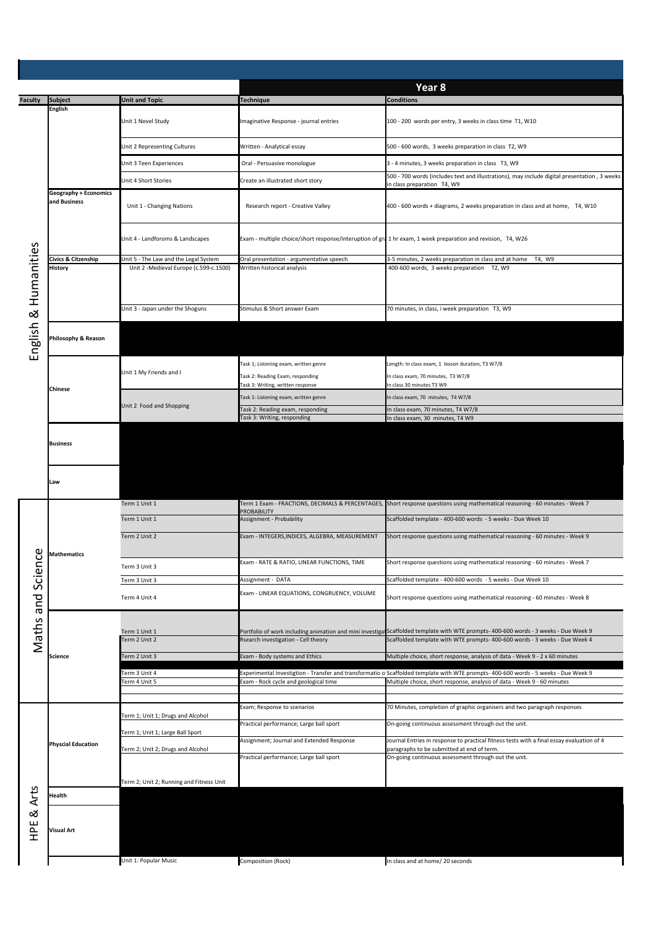| <b>Faculty</b>                    | <b>Subject</b>                 | <b>Unit and Topic</b>                                                           | <b>Technique</b>                                                                                             | Year <sub>8</sub><br><b>Conditions</b>                                                                                                                                                                            |  |  |  |
|-----------------------------------|--------------------------------|---------------------------------------------------------------------------------|--------------------------------------------------------------------------------------------------------------|-------------------------------------------------------------------------------------------------------------------------------------------------------------------------------------------------------------------|--|--|--|
|                                   | <b>English</b>                 |                                                                                 |                                                                                                              |                                                                                                                                                                                                                   |  |  |  |
| Humanities<br>$\infty$<br>English |                                | Unit 1 Novel Study                                                              | Imaginative Response - journal entries                                                                       | 100 - 200 words per entry, 3 weeks in class time T1, W10                                                                                                                                                          |  |  |  |
|                                   |                                | Unit 2 Representing Cultures                                                    | Written - Analytical essay                                                                                   | 500 - 600 words, 3 weeks preparation in class T2, W9                                                                                                                                                              |  |  |  |
|                                   |                                | Unit 3 Teen Experiences                                                         | Oral - Persuasive monologue                                                                                  | 3 - 4 minutes, 3 weeks preparation in class T3, W9                                                                                                                                                                |  |  |  |
|                                   |                                | Unit 4 Short Stories                                                            | Create an illustrated short story                                                                            | 500 - 700 words (includes text and illustrations), may include digital presentation, 3 weeks                                                                                                                      |  |  |  |
|                                   | <b>Geography + Economics</b>   |                                                                                 |                                                                                                              | in class preparation T4, W9                                                                                                                                                                                       |  |  |  |
|                                   | and Business                   | Unit 1 - Changing Nations                                                       | Research report - Creative Valley                                                                            | 400 - 600 words + diagrams, 2 weeks preparation in class and at home, T4, W10                                                                                                                                     |  |  |  |
|                                   |                                | Unit 4 - Landforoms & Landscapes                                                | Exam - multiple choice/short response/interuption of gra 1 hr exam, 1 week preparation and revision, T4, W26 |                                                                                                                                                                                                                   |  |  |  |
|                                   | Civics & Citzenship<br>History | Unit 5 - The Law and the Legal System<br>Unit 2 -Medieval Europe (c.599-c.1500) | Oral presentation - argumentative speech<br>Written historical analysis                                      | 3-5 minutes, 2 weeks preparation in class and at home T4, W9<br>400-600 words, 3 weeks preparation T2, W9                                                                                                         |  |  |  |
|                                   |                                | Unit 3 - Japan under the Shoguns                                                | Stimulus & Short answer Exam                                                                                 | 70 minutes, in class, i week preparation T3, W9                                                                                                                                                                   |  |  |  |
|                                   |                                |                                                                                 |                                                                                                              |                                                                                                                                                                                                                   |  |  |  |
|                                   | hilosophy & Reason             |                                                                                 |                                                                                                              |                                                                                                                                                                                                                   |  |  |  |
|                                   |                                |                                                                                 | Task 1; Listening exam, written genre                                                                        | Length: In class exam, 1 lesson duration, T3 W7/8                                                                                                                                                                 |  |  |  |
|                                   |                                | Unit 1 My Friends and I                                                         | Task 2: Reading Exam, responding                                                                             | In class exam, 70 minutes, T3 W7/8                                                                                                                                                                                |  |  |  |
|                                   | Chinese                        |                                                                                 | Fask 3: Writing, written response                                                                            | n class 30 minutes T3 W9                                                                                                                                                                                          |  |  |  |
|                                   |                                | Unit 2 Food and Shopping                                                        | Task 1: Listening exam, written genre<br>Task 2: Reading exam, responding                                    | n class exam, 70 minutes, T4 W7/8<br>In class exam, 70 minutes, T4 W7/8                                                                                                                                           |  |  |  |
|                                   |                                |                                                                                 | Task 3: Writing, responding                                                                                  | In class exam, 30 minutes, T4 W9                                                                                                                                                                                  |  |  |  |
|                                   | <b>Business</b>                |                                                                                 |                                                                                                              |                                                                                                                                                                                                                   |  |  |  |
|                                   | Law                            |                                                                                 |                                                                                                              |                                                                                                                                                                                                                   |  |  |  |
|                                   | <b>Mathematics</b>             | Term 1 Unit 1                                                                   |                                                                                                              | Term 1 Exam - FRACTIONS, DECIMALS & PERCENTAGES, Short response questions using mathematical reasoning - 60 minutes - Week 7                                                                                      |  |  |  |
|                                   |                                | Term 1 Unit 1                                                                   | <b>PROBABILITY</b><br>Assignment - Probability                                                               | Scaffolded template - 400-600 words - 5 weeks - Due Week 10                                                                                                                                                       |  |  |  |
|                                   |                                | Term 2 Unit 2                                                                   | Exam - INTEGERS, INDICES, ALGEBRA, MEASUREMENT                                                               | Short response questions using mathematical reasoning - 60 minutes - Week 9                                                                                                                                       |  |  |  |
|                                   |                                |                                                                                 |                                                                                                              |                                                                                                                                                                                                                   |  |  |  |
| ი<br>2                            |                                | Term 3 Unit 3                                                                   | Exam - RATE & RATIO, LINEAR FUNCTIONS, TIME                                                                  | Short response questions using mathematical reasoning - 60 minutes - Week 7                                                                                                                                       |  |  |  |
|                                   |                                | Term 3 Unit 3                                                                   | Assignment - DATA                                                                                            | Scaffolded template - 400-600 words - 5 weeks - Due Week 10                                                                                                                                                       |  |  |  |
|                                   |                                |                                                                                 | Exam - LINEAR EQUATIONS, CONGRUENCY, VOLUME                                                                  |                                                                                                                                                                                                                   |  |  |  |
|                                   |                                | Term 4 Unit 4                                                                   |                                                                                                              | Short response questions using mathematical reasoning - 60 minutes - Week 8                                                                                                                                       |  |  |  |
|                                   | <b>Science</b>                 |                                                                                 |                                                                                                              |                                                                                                                                                                                                                   |  |  |  |
| Maths and Scie                    |                                | Term 1 Unit 1<br>Ferm 2 Unit 2                                                  | Rsearch investigation - Cell theory                                                                          | Portfolio of work including animation and mini investigatScaffolded template with WTE prompts- 400-600 words - 3 weeks - Due Week 9<br>Scaffolded template with WTE prompts- 400-600 words - 3 weeks - Due Week 4 |  |  |  |
|                                   |                                | Term 2 Unit 3                                                                   | Exam - Body systems and Ethics                                                                               | Multiple choice, short response, analysis of data - Week 9 - 2 x 60 minutes                                                                                                                                       |  |  |  |
|                                   |                                |                                                                                 |                                                                                                              |                                                                                                                                                                                                                   |  |  |  |
|                                   |                                | Term 3 Unit 4<br>Term 4 Unit 5                                                  | Exam - Rock cycle and geological time                                                                        | Experimental Investigtion - Transfer and transformatio o Scaffolded template with WTE prompts- 400-600 words - 5 weeks - Due Week 9<br>Multiple choice, short response, analysis of data - Week 9 - 60 minutes    |  |  |  |
|                                   |                                |                                                                                 |                                                                                                              |                                                                                                                                                                                                                   |  |  |  |
|                                   |                                |                                                                                 | Exam; Response to scenarios                                                                                  | 70 Minutes, completion of graphic organisers and two paragraph responses                                                                                                                                          |  |  |  |
| <b>Arts</b><br>∞                  | <b>Physcial Education</b>      | Term 1; Unit 1; Drugs and Alcohol                                               | Practical performance; Large ball sport                                                                      | On-going continuous assessment through out the unit.                                                                                                                                                              |  |  |  |
|                                   |                                | Term 1; Unit 1; Large Ball Sport                                                | Assignment; Journal and Extended Response                                                                    | Journal Entries in response to practical fitness tests with a final essay evaluation of 4                                                                                                                         |  |  |  |
|                                   |                                | Term 2; Unit 2; Drugs and Alcohol                                               | Practical performance; Large ball sport                                                                      | paragraphs to be submitted at end of term.<br>On-going continuous assessment through out the unit.                                                                                                                |  |  |  |
|                                   |                                |                                                                                 |                                                                                                              |                                                                                                                                                                                                                   |  |  |  |
|                                   |                                | Term 2; Unit 2; Running and Fitness Unit                                        |                                                                                                              |                                                                                                                                                                                                                   |  |  |  |
|                                   | Health                         |                                                                                 |                                                                                                              |                                                                                                                                                                                                                   |  |  |  |
|                                   |                                |                                                                                 |                                                                                                              |                                                                                                                                                                                                                   |  |  |  |
| )<br>오                            | <b>Visual Art</b>              |                                                                                 |                                                                                                              |                                                                                                                                                                                                                   |  |  |  |
|                                   |                                | Unit 1: Popular Music                                                           | Composition (Rock)                                                                                           | In class and at home/ 20 seconds                                                                                                                                                                                  |  |  |  |